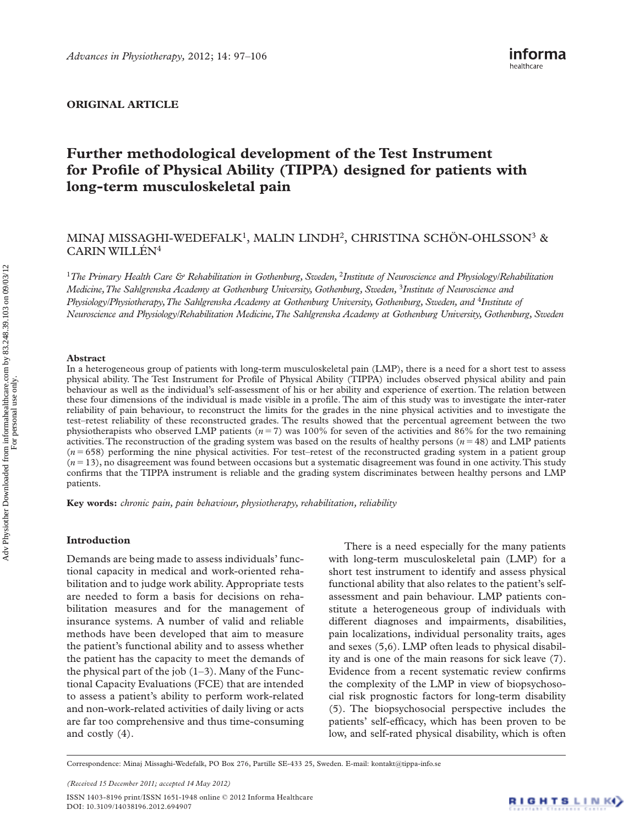#### **ORIGINAL ARTICLE**

# **Further methodological development of the Test Instrument**  for Profile of Physical Ability (TIPPA) designed for patients with **long-term musculoskeletal pain**

# MINAJ MISSAGHI-WEDEFALK<sup>1</sup>, MALIN LINDH<sup>2</sup>, CHRISTINA SCHÖN-OHLSSON<sup>3</sup> &  $CARIN$  WILLÉN<sup>4</sup>

<sup>1</sup>The Primary Health Care & Rehabilitation in Gothenburg, Sweden, <sup>2</sup>Institute of Neuroscience and Physiology/Rehabilitation *Medicine, The Sahlgrenska Academy at Gothenburg University, Gothenburg, Sweden,*  <sup>3</sup>*Institute of Neuroscience and Physiology/Physiotherapy, The Sahlgrenska Academy at Gothenburg University, Gothenburg, Sweden,and* 4*Institute of Neuroscience and Physiology/Rehabilitation Medicine, The Sahlgrenska Academy at Gothenburg University, Gothenburg, Sweden* 

#### **Abstract**

In a heterogeneous group of patients with long-term musculoskeletal pain (LMP), there is a need for a short test to assess physical ability. The Test Instrument for Profile of Physical Ability (TIPPA) includes observed physical ability and pain behaviour as well as the individual's self-assessment of his or her ability and experience of exertion. The relation between these four dimensions of the individual is made visible in a profile. The aim of this study was to investigate the inter-rater reliability of pain behaviour, to reconstruct the limits for the grades in the nine physical activities and to investigate the test-retest reliability of these reconstructed grades. The results showed that the percentual agreement between the two physiotherapists who observed LMP patients  $(n=7)$  was 100% for seven of the activities and 86% for the two remaining activities. The reconstruction of the grading system was based on the results of healthy persons  $(n = 48)$  and LMP patients  $(n = 658)$  performing the nine physical activities. For test-retest of the reconstructed grading system in a patient group  $(n=13)$ , no disagreement was found between occasions but a systematic disagreement was found in one activity. This study confirms that the TIPPA instrument is reliable and the grading system discriminates between healthy persons and LMP patients.

**Key words:** *chronic pain , pain behaviour , physiotherapy , rehabilitation , reliability* 

## **Introduction**

Demands are being made to assess individuals' functional capacity in medical and work-oriented rehabilitation and to judge work ability. Appropriate tests are needed to form a basis for decisions on rehabilitation measures and for the management of insurance systems. A number of valid and reliable methods have been developed that aim to measure the patient's functional ability and to assess whether the patient has the capacity to meet the demands of the physical part of the job  $(1-3)$ . Many of the Functional Capacity Evaluations (FCE) that are intended to assess a patient's ability to perform work-related and non-work-related activities of daily living or acts are far too comprehensive and thus time-consuming and costly (4).

There is a need especially for the many patients with long-term musculoskeletal pain (LMP) for a short test instrument to identify and assess physical functional ability that also relates to the patient's selfassessment and pain behaviour. LMP patients constitute a heterogeneous group of individuals with different diagnoses and impairments, disabilities, pain localizations, individual personality traits, ages and sexes (5,6). LMP often leads to physical disability and is one of the main reasons for sick leave (7). Evidence from a recent systematic review confirms the complexity of the LMP in view of biopsychosocial risk prognostic factors for long-term disability (5). The biopsychosocial perspective includes the patients' self-efficacy, which has been proven to be low, and self-rated physical disability, which is often

*(Received 15 December 2011 ; accepted 14 May 2012 )*  ISSN 1403-8196 print/ISSN 1651-1948 online © 2012 Informa Healthcare DOI: 10.3109/14038196.2012.694907

Adv Physiother Downloaded from informahealthcare.com by 83.248.39.103 on 09/03/12 For personal use only.

Adv Physiother Downloaded from informahealthcare.com by 83.248.39.103 on 09/03/12<br>For personal use only.

Correspondence: Minaj Missaghi-Wedefalk, PO Box 276, Partille SE-433 25, Sweden. E-mail: kontakt@tippa-info.se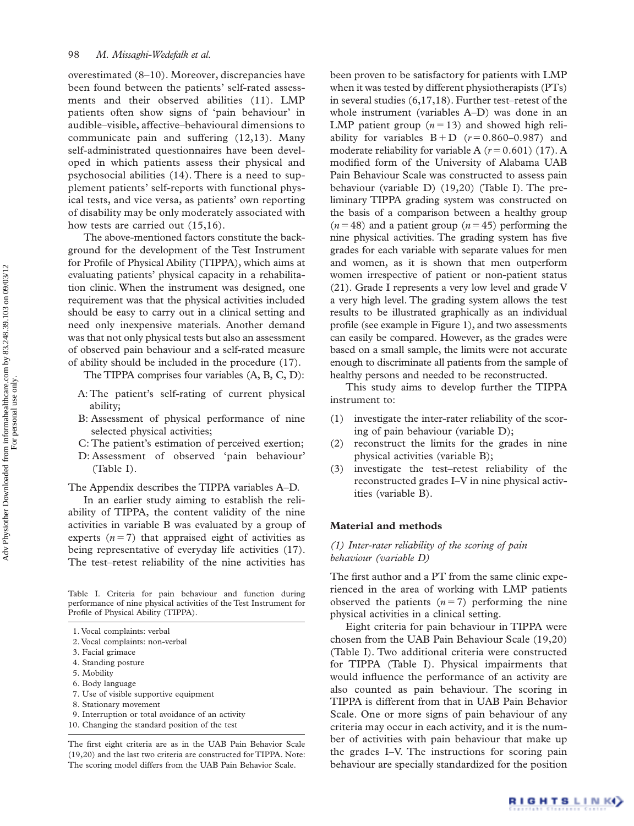overestimated  $(8-10)$ . Moreover, discrepancies have been found between the patients' self-rated assessments and their observed abilities (11). LMP patients often show signs of 'pain behaviour' in audible – visible, affective – behavioural dimensions to communicate pain and suffering (12,13). Many self-administrated questionnaires have been developed in which patients assess their physical and psychosocial abilities (14). There is a need to supplement patients' self-reports with functional physical tests, and vice versa, as patients' own reporting of disability may be only moderately associated with how tests are carried out (15,16).

The above-mentioned factors constitute the background for the development of the Test Instrument for Profile of Physical Ability (TIPPA), which aims at evaluating patients' physical capacity in a rehabilitation clinic. When the instrument was designed, one requirement was that the physical activities included should be easy to carry out in a clinical setting and need only inexpensive materials. Another demand was that not only physical tests but also an assessment of observed pain behaviour and a self-rated measure of ability should be included in the procedure (17).

The TIPPA comprises four variables (A, B, C, D):

- A: The patient's self-rating of current physical ability;
- B: Assessment of physical performance of nine selected physical activities;
- C: The patient's estimation of perceived exertion;
- D: Assessment of observed 'pain behaviour' (Table I).

The Appendix describes the TIPPA variables A–D.

In an earlier study aiming to establish the reliability of TIPPA, the content validity of the nine activities in variable B was evaluated by a group of experts  $(n=7)$  that appraised eight of activities as being representative of everyday life activities (17). The test-retest reliability of the nine activities has

Table I. Criteria for pain behaviour and function during performance of nine physical activities of the Test Instrument for Profile of Physical Ability (TIPPA).

- 3. Facial grimace
- 4. Standing posture
- 5. Mobility
- 6. Body language
- 7. Use of visible supportive equipment
- 8. Stationary movement
- 9. Interruption or total avoidance of an activity
- 10. Changing the standard position of the test

The first eight criteria are as in the UAB Pain Behavior Scale (19,20) and the last two criteria are constructed for TIPPA. Note: The scoring model differs from the UAB Pain Behavior Scale.

been proven to be satisfactory for patients with LMP when it was tested by different physiotherapists (PTs) in several studies  $(6,17,18)$ . Further test-retest of the whole instrument (variables  $A-D$ ) was done in an LMP patient group  $(n=13)$  and showed high reliability for variables  $B + D$  ( $r = 0.860 - 0.987$ ) and moderate reliability for variable A  $(r=0.601)$  (17). A modified form of the University of Alabama UAB Pain Behaviour Scale was constructed to assess pain behaviour (variable D) (19,20) (Table I). The preliminary TIPPA grading system was constructed on the basis of a comparison between a healthy group  $(n=48)$  and a patient group  $(n=45)$  performing the nine physical activities. The grading system has five grades for each variable with separate values for men and women, as it is shown that men outperform women irrespective of patient or non-patient status (21). Grade I represents a very low level and grade V a very high level. The grading system allows the test results to be illustrated graphically as an individual profile (see example in Figure 1), and two assessments can easily be compared. However, as the grades were based on a small sample, the limits were not accurate enough to discriminate all patients from the sample of healthy persons and needed to be reconstructed.

This study aims to develop further the TIPPA instrument to:

- (1) investigate the inter-rater reliability of the scoring of pain behaviour (variable D);
- (2) reconstruct the limits for the grades in nine physical activities (variable B);
- (3) investigate the test-retest reliability of the reconstructed grades I–V in nine physical activities (variable B).

## **Material and methods**

## *(1) Inter-rater reliability of the scoring of pain behaviour (variable D)*

The first author and a PT from the same clinic experienced in the area of working with LMP patients observed the patients  $(n=7)$  performing the nine physical activities in a clinical setting.

Eight criteria for pain behaviour in TIPPA were chosen from the UAB Pain Behaviour Scale (19,20) (Table I). Two additional criteria were constructed for TIPPA (Table I). Physical impairments that would influence the performance of an activity are also counted as pain behaviour. The scoring in TIPPA is different from that in UAB Pain Behavior Scale. One or more signs of pain behaviour of any criteria may occur in each activity, and it is the number of activities with pain behaviour that make up the grades I–V. The instructions for scoring pain behaviour are specially standardized for the position

<sup>1.</sup> Vocal complaints: verbal

<sup>2.</sup> Vocal complaints: non-verbal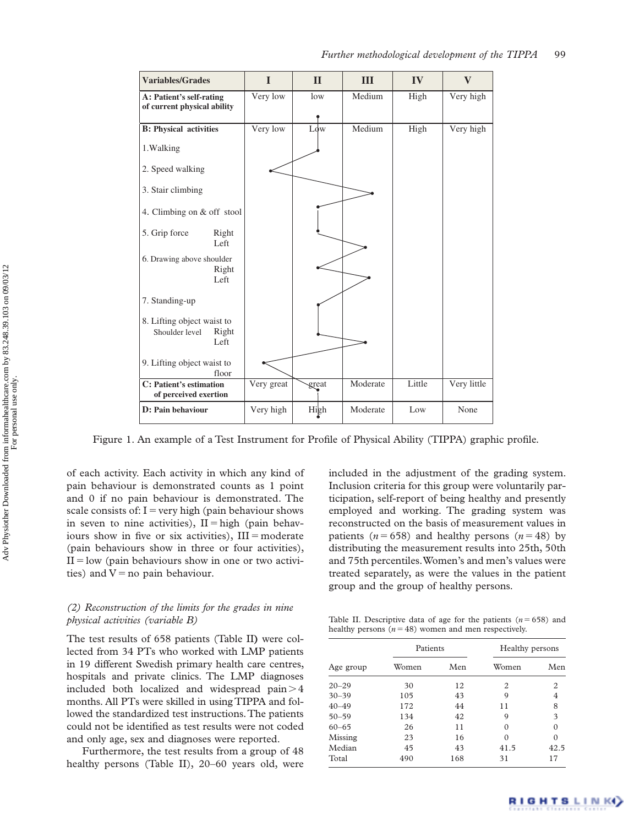| <b>Variables/Grades</b>                                 |               | $\mathbf{I}$ | $\mathbf{H}$ | III      | IV     | $\mathbf{V}$ |
|---------------------------------------------------------|---------------|--------------|--------------|----------|--------|--------------|
| A: Patient's self-rating<br>of current physical ability |               | Very low     | low          | Medium   | High   | Very high    |
| <b>B</b> : Physical activities                          |               | Very low     | Low          | Medium   | High   | Very high    |
| 1. Walking                                              |               |              |              |          |        |              |
| 2. Speed walking                                        |               |              |              |          |        |              |
| 3. Stair climbing                                       |               |              |              |          |        |              |
| 4. Climbing on & off stool                              |               |              |              |          |        |              |
| 5. Grip force                                           | Right<br>Left |              |              |          |        |              |
| 6. Drawing above shoulder                               | Right<br>Left |              |              |          |        |              |
| 7. Standing-up                                          |               |              |              |          |        |              |
| 8. Lifting object waist to                              |               |              |              |          |        |              |
| Shoulder level                                          | Right<br>Left |              |              |          |        |              |
| 9. Lifting object waist to                              | floor         |              |              |          |        |              |
| C: Patient's estimation<br>of perceived exertion        |               | Very great   | great        | Moderate | Little | Very little  |
| D: Pain behaviour                                       |               | Very high    | High         | Moderate | Low    | None         |

Figure 1. An example of a Test Instrument for Profile of Physical Ability (TIPPA) graphic profile.

of each activity. Each activity in which any kind of pain behaviour is demonstrated counts as 1 point and 0 if no pain behaviour is demonstrated. The scale consists of:  $I = \text{very high (pain behaviour shows})$ in seven to nine activities),  $II = high$  (pain behaviours show in five or six activities),  $III =$  moderate (pain behaviours show in three or four activities),  $II =$ low (pain behaviours show in one or two activities) and  $V = no$  pain behaviour.

## *(2) Reconstruction of the limits for the grades in nine physical activities (variable B)*

The test results of 658 patients (Table II) were collected from 34 PTs who worked with LMP patients in 19 different Swedish primary health care centres, hospitals and private clinics. The LMP diagnoses included both localized and widespread pain  $>4$ months. All PTs were skilled in using TIPPA and followed the standardized test instructions. The patients could not be identified as test results were not coded and only age, sex and diagnoses were reported.

Furthermore, the test results from a group of 48 healthy persons (Table II), 20-60 years old, were included in the adjustment of the grading system. Inclusion criteria for this group were voluntarily participation, self-report of being healthy and presently employed and working. The grading system was reconstructed on the basis of measurement values in patients ( $n = 658$ ) and healthy persons ( $n = 48$ ) by distributing the measurement results into 25th, 50th and 75th percentiles. Women's and men's values were treated separately, as were the values in the patient group and the group of healthy persons.

Table II. Descriptive data of age for the patients  $(n = 658)$  and healthy persons  $(n = 48)$  women and men respectively.

|           | Patients |     | Healthy persons |          |  |  |
|-----------|----------|-----|-----------------|----------|--|--|
| Age group | Women    | Men | Women           | Men      |  |  |
| $20 - 29$ | 30       | 12  | 2               | 2        |  |  |
| $30 - 39$ | 105      | 43  | 9               | 4        |  |  |
| $40 - 49$ | 172      | 44  | 11              | 8        |  |  |
| $50 - 59$ | 134      | 42  | 9               | 3        |  |  |
| $60 - 65$ | 26       | 11  | $\Omega$        | $\Omega$ |  |  |
| Missing   | 23       | 16  | 0               | 0        |  |  |
| Median    | 45       | 43  | 41.5            | 42.5     |  |  |
| Total     | 490      | 168 | 31              | 17       |  |  |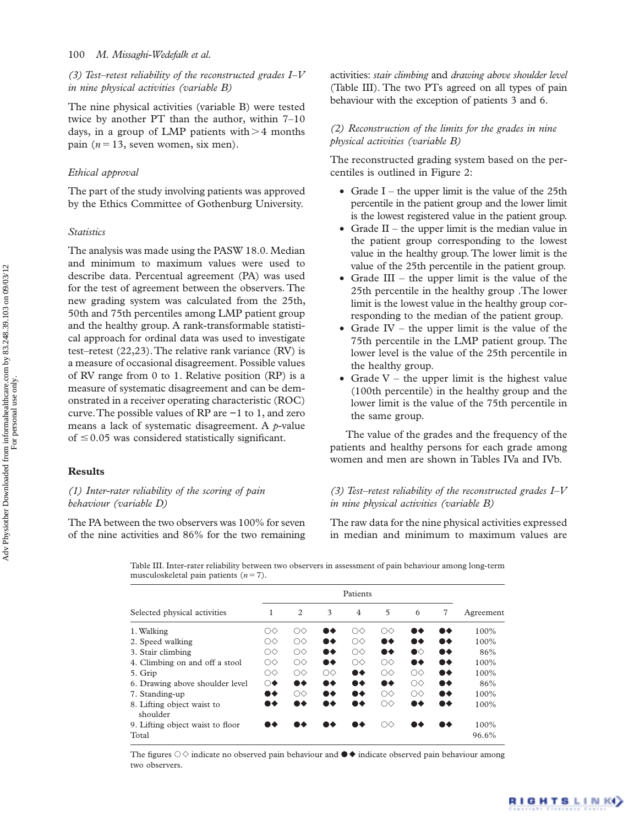## *(3) Test–retest reliability of the reconstructed grades I–V in nine physical activities (variable B)*

The nine physical activities (variable B) were tested twice by another  $PT$  than the author, within  $7-10$ days, in a group of LMP patients with  $>4$  months pain  $(n = 13)$ , seven women, six men).

#### *Ethical approval*

The part of the study involving patients was approved by the Ethics Committee of Gothenburg University.

#### *Statistics*

The analysis was made using the PASW 18.0. Median and minimum to maximum values were used to describe data. Percentual agreement (PA) was used for the test of agreement between the observers. The new grading system was calculated from the 25th, 50th and 75th percentiles among LMP patient group and the healthy group. A rank-transformable statistical approach for ordinal data was used to investigate test-retest  $(22,23)$ . The relative rank variance (RV) is a measure of occasional disagreement. Possible values of RV range from 0 to 1. Relative position (RP) is a measure of systematic disagreement and can be demonstrated in a receiver operating characteristic (ROC) curve. The possible values of RP are −1 to 1, and zero means a lack of systematic disagreement. A *p*-value of  $\leq$  0.05 was considered statistically significant.

## **Results**

## *(1) Inter-rater reliability of the scoring of pain behaviour (variable D)*

The PA between the two observers was 100% for seven of the nine activities and 86% for the two remaining activities: *stair climbing* and *drawing above shoulder level* (Table III). The two PTs agreed on all types of pain behaviour with the exception of patients 3 and 6.

## *(2) Reconstruction of the limits for the grades in nine physical activities (variable B)*

The reconstructed grading system based on the percentiles is outlined in Figure 2:

- Grade I the upper limit is the value of the 25th percentile in the patient group and the lower limit is the lowest registered value in the patient group.
- Grade II the upper limit is the median value in the patient group corresponding to the lowest value in the healthy group. The lower limit is the value of the 25th percentile in the patient group.
- Grade  $III$  the upper limit is the value of the 25th percentile in the healthy group .The lower limit is the lowest value in the healthy group corresponding to the median of the patient group.
- Grade IV the upper limit is the value of the 75th percentile in the LMP patient group. The lower level is the value of the 25th percentile in the healthy group.
- Grade  $V$  the upper limit is the highest value (100th percentile) in the healthy group and the lower limit is the value of the 75th percentile in the same group.

The value of the grades and the frequency of the patients and healthy persons for each grade among women and men are shown in Tables IVa and IVb.

## *(3) Test-retest reliability of the reconstructed grades I-V in nine physical activities (variable B)*

The raw data for the nine physical activities expressed in median and minimum to maximum values are

Table III. Inter-rater reliability between two observers in assessment of pain behaviour among long-term musculoskeletal pain patients  $(n=7)$ .

|                                           | Patients |                     |                  |                     |                     |                     |                  |               |
|-------------------------------------------|----------|---------------------|------------------|---------------------|---------------------|---------------------|------------------|---------------|
| Selected physical activities              | 1        | 2                   | 3                | $\overline{4}$      | 5                   | 6                   | 7                | Agreement     |
| 1. Walking                                | ∩⇔       | ∩⇔                  | 80               | ∩⇔                  | ∩⇔                  | 80                  | 80               | 100%          |
| 2. Speed walking                          | ∩⇔       | $\circlearrowright$ | $\bullet\bullet$ | $\circlearrowright$ | $\bullet\bullet$    | 80                  | 80               | 100%          |
| 3. Stair climbing                         | ∩◇       | $\circlearrowright$ | $\bullet\bullet$ | $\circlearrowright$ | $\bullet\bullet$    | $\bullet$           | $\bullet\bullet$ | 86%           |
| 4. Climbing on and off a stool            | ∩⇔       | $\circlearrowright$ | $\bullet\bullet$ | $\circlearrowright$ | ∩◇                  | 80                  | $\bullet\bullet$ | $100\%$       |
| 5. Grip                                   | ∩◇       | $\circlearrowright$ | ∩◇               | $\bullet\bullet$    | ∩◇                  | ∩◇                  | $\bullet\bullet$ | $100\%$       |
| 6. Drawing above shoulder level           | ∩♦       | 80                  | 80               | $\bullet\bullet$    | 80                  | ∩∧                  | 80               | 86%           |
| 7. Standing-up                            | ●◆       | ∩◇                  | ●◆               | $\bullet\bullet$    | ∩◇                  | $\circlearrowright$ | $\bullet\bullet$ | $100\%$       |
| 8. Lifting object waist to<br>shoulder    | 86       | 80                  | ₿ŏ               | D♦                  | $\circlearrowright$ | 84                  | 86               | 100%          |
| 9. Lifting object waist to floor<br>Total |          |                     |                  |                     | ∩◇                  |                     | 80               | 100%<br>96.6% |

The figures  $\circlearrowleft \diamond$  indicate no observed pain behaviour and  $\bullet \bullet$  indicate observed pain behaviour among two observers.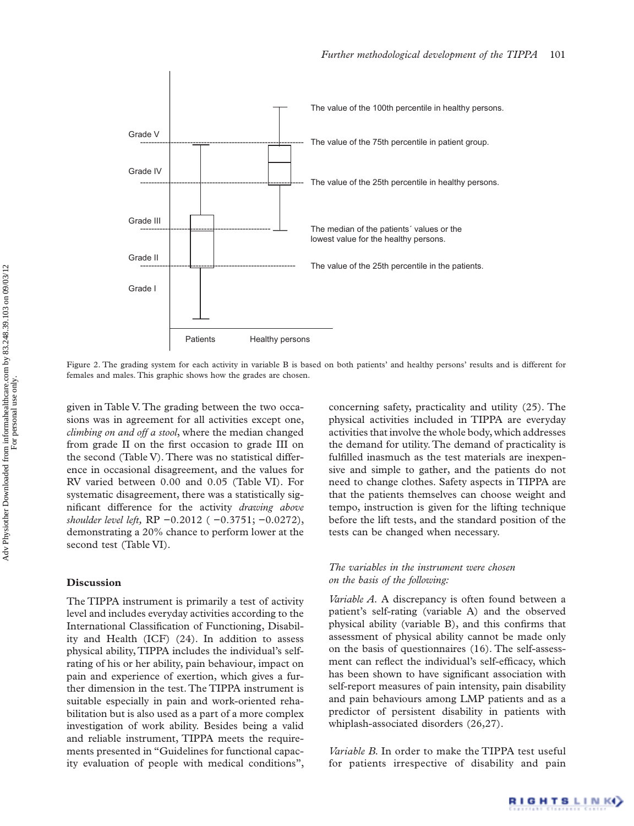

Figure 2.The grading system for each activity in variable B is based on both patients' and healthy persons' results and is different for females and males. This graphic shows how the grades are chosen.

given in Table V. The grading between the two occasions was in agreement for all activities except one, *climbing on and off a stool*, where the median changed from grade II on the first occasion to grade III on the second (Table V). There was no statistical difference in occasional disagreement, and the values for RV varied between 0.00 and 0.05 (Table VI). For systematic disagreement, there was a statistically signifi cant difference for the activity *drawing above shoulder level left,* RP −0.2012 ( −0.3751; −0.0272), demonstrating a 20% chance to perform lower at the second test (Table VI).

#### **Discussion**

The TIPPA instrument is primarily a test of activity level and includes everyday activities according to the International Classification of Functioning, Disability and Health (ICF) (24). In addition to assess physical ability, TIPPA includes the individual's selfrating of his or her ability, pain behaviour, impact on pain and experience of exertion, which gives a further dimension in the test. The TIPPA instrument is suitable especially in pain and work-oriented rehabilitation but is also used as a part of a more complex investigation of work ability. Besides being a valid and reliable instrument, TIPPA meets the requirements presented in "Guidelines for functional capacity evaluation of people with medical conditions",

concerning safety, practicality and utility (25). The physical activities included in TIPPA are everyday activities that involve the whole body, which addresses the demand for utility. The demand of practicality is fulfilled inasmuch as the test materials are inexpensive and simple to gather, and the patients do not need to change clothes. Safety aspects in TIPPA are that the patients themselves can choose weight and tempo, instruction is given for the lifting technique before the lift tests, and the standard position of the tests can be changed when necessary.

## *The variables in the instrument were chosen on the basis of the following:*

*Variable A.* A discrepancy is often found between a patient's self-rating (variable A) and the observed physical ability (variable  $B$ ), and this confirms that assessment of physical ability cannot be made only on the basis of questionnaires (16). The self-assessment can reflect the individual's self-efficacy, which has been shown to have significant association with self-report measures of pain intensity, pain disability and pain behaviours among LMP patients and as a predictor of persistent disability in patients with whiplash-associated disorders (26,27).

*Variable B.* In order to make the TIPPA test useful for patients irrespective of disability and pain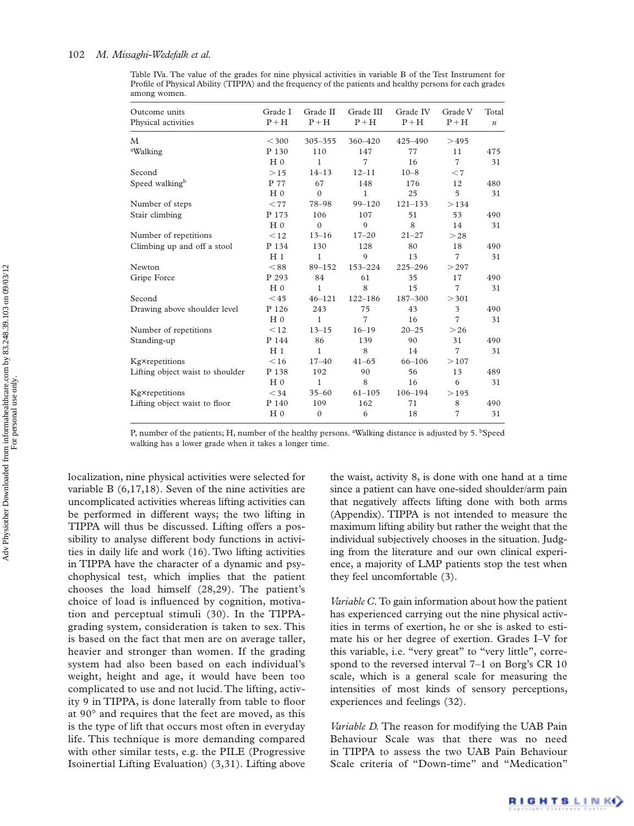Table IVa. The value of the grades for nine physical activities in variable B of the Test Instrument for Profile of Physical Ability (TIPPA) and the frequency of the patients and healthy persons for each grades among women.

| Outcome units<br>Physical activities | Grade I<br>$P + H$ | Grade II<br>$P + H$ | Grade III<br>$P + H$ | Grade IV<br>$P + H$ | Grade V<br>$P + H$ | Total<br>$\boldsymbol{n}$ |
|--------------------------------------|--------------------|---------------------|----------------------|---------------------|--------------------|---------------------------|
| M                                    | < 300              | $305 - 355$         | $360 - 420$          | $425 - 490$         | >495               |                           |
| <sup>a</sup> Walking                 | P 130              | 110                 | 147                  | 77                  | 11                 | 475                       |
|                                      | H <sub>0</sub>     | 1                   | $\overline{7}$       | 16                  | $\overline{7}$     | 31                        |
| Second                               | >15                | $14 - 13$           | $12 - 11$            | $10 - 8$            | < 7                |                           |
| Speed walking <sup>b</sup>           | P 77               | 67                  | 148                  | 176                 | 12                 | 480                       |
|                                      | H <sub>0</sub>     | $\theta$            | 1                    | 25                  | $\overline{5}$     | 31                        |
| Number of steps                      | < 77               | $78 - 98$           | $99 - 120$           | $121 - 133$         | >134               |                           |
| Stair climbing                       | P 173              | 106                 | 107                  | 51                  | 53                 | 490                       |
|                                      | H <sub>0</sub>     | $\Omega$            | $\mathbf Q$          | 8                   | 14                 | 31                        |
| Number of repetitions                | < 12               | $13 - 16$           | $17 - 20$            | $21 - 27$           | >28                |                           |
| Climbing up and off a stool          | P 134              | 130                 | 128                  | 80                  | 18                 | 490                       |
|                                      | $H_1$              | 1                   | 9                    | 13                  | 7                  | 31                        |
| Newton                               | < 88               | $89 - 152$          | 153-224              | $225 - 296$         | >297               |                           |
| Gripe Force                          | P 293              | 84                  | 61                   | 35                  | 17                 | 490                       |
|                                      | H <sub>0</sub>     | $\mathbf{1}$        | 8                    | 15                  | $\overline{7}$     | 31                        |
| Second                               | $<$ 45             | $46 - 121$          | $122 - 186$          | $187 - 300$         | > 301              |                           |
| Drawing above shoulder level         | P 126              | 243                 | 75                   | 43                  | 3                  | 490                       |
|                                      | H <sub>0</sub>     | 1                   | $\overline{7}$       | 16                  | 7                  | 31                        |
| Number of repetitions                | < 12               | $13 - 15$           | $16 - 19$            | $20 - 25$           | > 26               |                           |
| Standing-up                          | P 144              | 86                  | 139                  | 90                  | 31                 | 490                       |
|                                      | $H_1$              | $\mathbf{1}$        | 8                    | 14                  | 7                  | 31                        |
| Kg×repetitions                       | < 16               | $17 - 40$           | $41 - 65$            | $66 - 106$          | >107               |                           |
| Lifting object waist to shoulder     | P 138              | 192                 | 90                   | 56                  | 13                 | 489                       |
|                                      | H <sub>0</sub>     | $\mathbf{1}$        | 8                    | 16                  | 6                  | 31                        |
| Kg×repetitions                       | $<$ 34             | $35 - 60$           | $61 - 105$           | $106 - 194$         | >195               |                           |
| Lifting object waist to floor        | P 140              | 109                 | 162                  | 71                  | 8                  | 490                       |
|                                      | H <sub>0</sub>     | $\mathbf{0}$        | 6                    | 18                  | 7                  | 31                        |

P, number of the patients; H, number of the healthy persons. <sup>a</sup>Walking distance is adjusted by 5. <sup>b</sup>Speed walking has a lower grade when it takes a longer time.

localization, nine physical activities were selected for variable B (6,17,18). Seven of the nine activities are uncomplicated activities whereas lifting activities can be performed in different ways; the two lifting in TIPPA will thus be discussed. Lifting offers a possibility to analyse different body functions in activities in daily life and work (16). Two lifting activities in TIPPA have the character of a dynamic and psychophysical test, which implies that the patient chooses the load himself (28,29). The patient's choice of load is influenced by cognition, motivation and perceptual stimuli (30). In the TIPPAgrading system, consideration is taken to sex. This is based on the fact that men are on average taller, heavier and stronger than women. If the grading system had also been based on each individual's weight, height and age, it would have been too complicated to use and not lucid. The lifting, activity 9 in TIPPA, is done laterally from table to floor at 90° and requires that the feet are moved, as this is the type of lift that occurs most often in everyday life. This technique is more demanding compared with other similar tests, e.g. the PILE (Progressive Isoinertial Lifting Evaluation) (3,31). Lifting above

the waist, activity 8, is done with one hand at a time since a patient can have one-sided shoulder/arm pain that negatively affects lifting done with both arms (Appendix). TIPPA is not intended to measure the maximum lifting ability but rather the weight that the individual subjectively chooses in the situation. Judging from the literature and our own clinical experience, a majority of LMP patients stop the test when they feel uncomfortable (3).

*Variable C.* To gain information about how the patient has experienced carrying out the nine physical activities in terms of exertion, he or she is asked to estimate his or her degree of exertion. Grades I-V for this variable, i.e. "very great" to "very little", correspond to the reversed interval  $7-1$  on Borg's CR  $10$ scale, which is a general scale for measuring the intensities of most kinds of sensory perceptions, experiences and feelings (32).

*Variable D.* The reason for modifying the UAB Pain Behaviour Scale was that there was no need in TIPPA to assess the two UAB Pain Behaviour Scale criteria of "Down-time" and "Medication"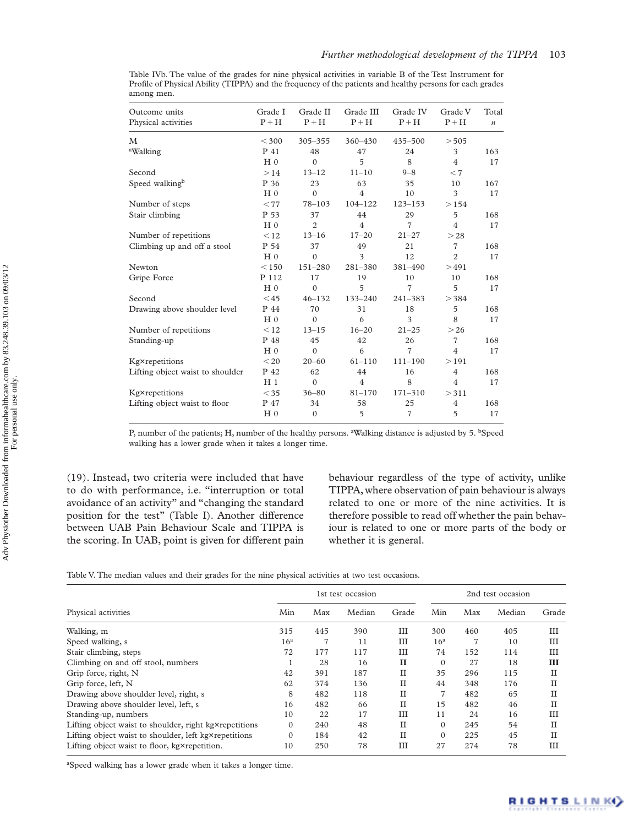Table IVb. The value of the grades for nine physical activities in variable B of the Test Instrument for Profile of Physical Ability (TIPPA) and the frequency of the patients and healthy persons for each grades among men.

| Outcome units<br>Physical activities | Grade I<br>$P + H$ | Grade II<br>$P + H$ | Grade III<br>$P + H$ | Grade IV<br>$P + H$ | Grade V<br>$P + H$ | Total<br>$\boldsymbol{n}$ |
|--------------------------------------|--------------------|---------------------|----------------------|---------------------|--------------------|---------------------------|
| M                                    | $<$ 300            | $305 - 355$         | 360-430              | 435-500             | > 505              |                           |
| aWalking                             | P 41               | 48                  | 47                   | 24                  | 3                  | 163                       |
|                                      | H <sub>0</sub>     | $\Omega$            | 5                    | 8                   | $\overline{4}$     | 17                        |
| Second                               | >14                | $13 - 12$           | $11 - 10$            | $9 - 8$             | < 7                |                           |
| Speed walking <sup>b</sup>           | P 36               | 23                  | 63                   | 35                  | 10                 | 167                       |
|                                      | H <sub>0</sub>     | $\Omega$            | $\overline{4}$       | 10                  | 3                  | 17                        |
| Number of steps                      | < 77               | $78 - 103$          | $104 - 122$          | $123 - 153$         | >154               |                           |
| Stair climbing                       | P 53               | 37                  | 44                   | 29                  | 5                  | 168                       |
|                                      | H <sub>0</sub>     | $\overline{c}$      | $\overline{4}$       | $\overline{7}$      | $\overline{4}$     | 17                        |
| Number of repetitions                | < 12               | $13 - 16$           | $17 - 20$            | $21 - 27$           | > 28               |                           |
| Climbing up and off a stool          | P 54               | 37                  | 49                   | 21                  | 7                  | 168                       |
|                                      | H <sub>0</sub>     | $\Omega$            | 3                    | 12                  | $\overline{2}$     | 17                        |
| Newton                               | < 150              | $151 - 280$         | $281 - 380$          | 381-490             | >491               |                           |
| Gripe Force                          | P 112              | 17                  | 19                   | 10                  | 10                 | 168                       |
|                                      | H <sub>0</sub>     | $\Omega$            | 5                    | 7                   | 5                  | 17                        |
| Second                               | $<$ 45             | $46 - 132$          | $133 - 240$          | $241 - 383$         | >384               |                           |
| Drawing above shoulder level         | P 44               | 70                  | 31                   | 18                  | 5                  | 168                       |
|                                      | H <sub>0</sub>     | $\Omega$            | 6                    | 3                   | 8                  | 17                        |
| Number of repetitions                | < 12               | $13 - 15$           | $16 - 20$            | $21 - 25$           | > 26               |                           |
| Standing-up                          | P 48               | 45                  | 42                   | 26                  | $\overline{7}$     | 168                       |
|                                      | H <sub>0</sub>     | $\Omega$            | 6                    | 7                   | $\overline{4}$     | 17                        |
| Kg×repetitions                       | < 20               | $20 - 60$           | $61 - 110$           | $111 - 190$         | >191               |                           |
| Lifting object waist to shoulder     | P 42               | 62                  | 44                   | 16                  | 4                  | 168                       |
|                                      | $H_1$              | $\Omega$            | $\overline{4}$       | 8                   | $\overline{4}$     | 17                        |
| Kg×repetitions                       | $<$ 35             | $36 - 80$           | $81 - 170$           | $171 - 310$         | >311               |                           |
| Lifting object waist to floor        | P 47               | 34                  | 58                   | 25                  | $\overline{4}$     | 168                       |
|                                      | H <sub>0</sub>     | $\mathbf{0}$        | 5                    | 7                   | 5                  | 17                        |

P, number of the patients; H, number of the healthy persons. <sup>a</sup>Walking distance is adjusted by 5. <sup>b</sup>Speed walking has a lower grade when it takes a longer time.

(19). Instead, two criteria were included that have to do with performance, i.e. "interruption or total avoidance of an activity" and "changing the standard position for the test" (Table I). Another difference between UAB Pain Behaviour Scale and TIPPA is the scoring. In UAB, point is given for different pain behaviour regardless of the type of activity, unlike TIPPA, where observation of pain behaviour is always related to one or more of the nine activities. It is therefore possible to read off whether the pain behaviour is related to one or more parts of the body or whether it is general.

Table V. The median values and their grades for the nine physical activities at two test occasions.

|                                                        | 1st test occasion |     |        |              | 2nd test occasion |     |        |             |
|--------------------------------------------------------|-------------------|-----|--------|--------------|-------------------|-----|--------|-------------|
| Physical activities                                    | Min               | Max | Median | Grade        | Min               | Max | Median | Grade       |
| Walking, m                                             | 315               | 445 | 390    | Ш            | 300               | 460 | 405    | Ш           |
| Speed walking, s                                       | 16 <sup>a</sup>   | 7   | 11     | IΙI          | 16 <sup>a</sup>   | 7   | 10     | H           |
| Stair climbing, steps                                  | 72                | 177 | 117    | III          | 74                | 152 | 114    | H           |
| Climbing on and off stool, numbers                     |                   | 28  | 16     | $\mathbf{I}$ | $\mathbf{0}$      | 27  | 18     | Ш           |
| Grip force, right, N                                   | 42                | 391 | 187    | $_{\rm II}$  | 35                | 296 | 115    | $_{\rm II}$ |
| Grip force, left, N                                    | 62                | 374 | 136    | $_{\rm II}$  | 44                | 348 | 176    | п           |
| Drawing above shoulder level, right, s                 | 8                 | 482 | 118    | $_{\rm II}$  | 7                 | 482 | 65     | $_{\rm II}$ |
| Drawing above shoulder level, left, s                  | 16                | 482 | 66     | $_{\rm II}$  | 15                | 482 | 46     | Н           |
| Standing-up, numbers                                   | 10                | 22  | 17     | Ш            | 11                | 24  | 16     | H           |
| Lifting object waist to shoulder, right kg×repetitions | $\Omega$          | 240 | 48     | $_{\rm II}$  | $\Omega$          | 245 | 54     | П           |
| Lifting object waist to shoulder, left kg×repetitions  | $\Omega$          | 184 | 42     | $_{\rm II}$  | $\Omega$          | 225 | 45     | $_{\rm II}$ |
| Lifting object waist to floor, kg×repetition.          | 10                | 250 | 78     | III          | 27                | 274 | 78     | H           |

<sup>a</sup>Speed walking has a lower grade when it takes a longer time.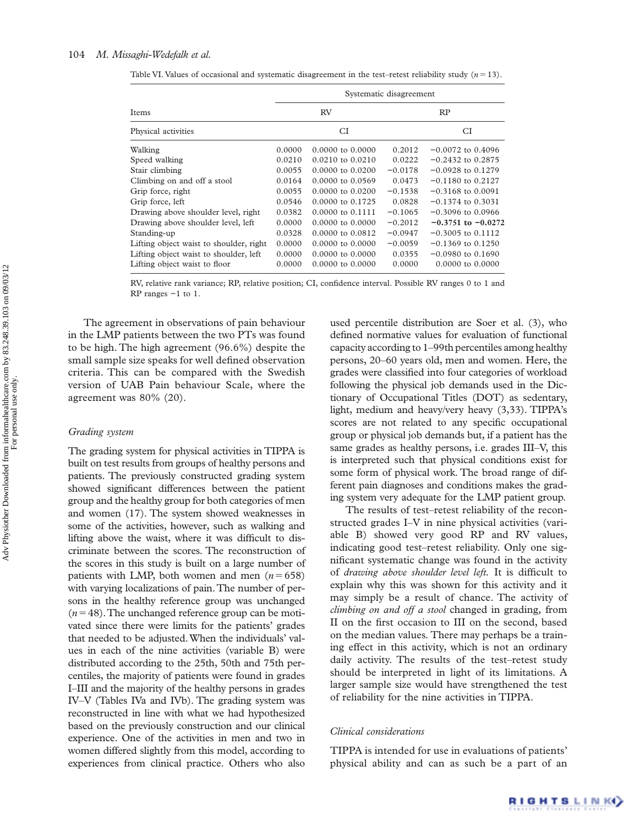|  |  |  |  |  |  | Table VI. Values of occasional and systematic disagreement in the test-retest reliability study $(n=13)$ . |  |  |
|--|--|--|--|--|--|------------------------------------------------------------------------------------------------------------|--|--|
|--|--|--|--|--|--|------------------------------------------------------------------------------------------------------------|--|--|

|                                         | Systematic disagreement |                      |           |                        |  |  |  |
|-----------------------------------------|-------------------------|----------------------|-----------|------------------------|--|--|--|
| <b>Items</b>                            |                         | <b>RV</b>            |           | RP                     |  |  |  |
| Physical activities                     |                         | СI                   |           | СI                     |  |  |  |
| Walking                                 | 0.0000                  | $0.0000$ to $0.0000$ | 0.2012    | $-0.0072$ to 0.4096    |  |  |  |
| Speed walking                           | 0.0210                  | $0.0210$ to $0.0210$ | 0.0222    | $-0.2432$ to 0.2875    |  |  |  |
| Stair climbing                          | 0.0055                  | $0.0000$ to $0.0200$ | $-0.0178$ | $-0.0928$ to 0.1279    |  |  |  |
| Climbing on and off a stool             | 0.0164                  | 0.0000 to 0.0569     | 0.0473    | $-0.1180$ to 0.2127    |  |  |  |
| Grip force, right                       | 0.0055                  | 0.0000 to 0.0200     | $-0.1538$ | $-0.3168$ to 0.0091    |  |  |  |
| Grip force, left                        | 0.0546                  | 0.0000 to 0.1725     | 0.0828    | $-0.1374$ to 0.3031    |  |  |  |
| Drawing above shoulder level, right     | 0.0382                  | $0.0000$ to $0.1111$ | $-0.1065$ | $-0.3096$ to 0.0966    |  |  |  |
| Drawing above shoulder level, left      | 0.0000                  | $0.0000$ to $0.0000$ | $-0.2012$ | $-0.3751$ to $-0.0272$ |  |  |  |
| Standing-up                             | 0.0328                  | 0.0000 to 0.0812     | $-0.0947$ | $-0.3005$ to 0.1112    |  |  |  |
| Lifting object waist to shoulder, right | 0.0000                  | $0.0000$ to $0.0000$ | $-0.0059$ | $-0.1369$ to 0.1250    |  |  |  |
| Lifting object waist to shoulder, left  | 0.0000                  | $0.0000$ to $0.0000$ | 0.0355    | $-0.0980$ to 0.1690    |  |  |  |
| Lifting object waist to floor           | 0.0000                  | $0.0000$ to $0.0000$ | 0.0000    | $0.0000$ to $0.0000$   |  |  |  |

RV, relative rank variance; RP, relative position; CI, confidence interval. Possible RV ranges 0 to 1 and RP ranges −1 to 1.

The agreement in observations of pain behaviour in the LMP patients between the two PTs was found to be high. The high agreement (96.6%) despite the small sample size speaks for well defined observation criteria. This can be compared with the Swedish version of UAB Pain behaviour Scale, where the agreement was 80% (20).

## *Grading system*

The grading system for physical activities in TIPPA is built on test results from groups of healthy persons and patients. The previously constructed grading system showed significant differences between the patient group and the healthy group for both categories of men and women (17). The system showed weaknesses in some of the activities, however, such as walking and lifting above the waist, where it was difficult to discriminate between the scores. The reconstruction of the scores in this study is built on a large number of patients with LMP, both women and men  $(n=658)$ with varying localizations of pain. The number of persons in the healthy reference group was unchanged  $(n=48)$ . The unchanged reference group can be motivated since there were limits for the patients' grades that needed to be adjusted. When the individuals' values in each of the nine activities (variable B) were distributed according to the 25th, 50th and 75th percentiles, the majority of patients were found in grades I–III and the majority of the healthy persons in grades IV–V (Tables IVa and IVb). The grading system was reconstructed in line with what we had hypothesized based on the previously construction and our clinical experience. One of the activities in men and two in women differed slightly from this model, according to experiences from clinical practice. Others who also

used percentile distribution are Soer et al. (3), who defined normative values for evaluation of functional capacity according to 1-99th percentiles among healthy persons, 20–60 years old, men and women. Here, the grades were classified into four categories of workload following the physical job demands used in the Dictionary of Occupational Titles (DOT) as sedentary, light, medium and heavy/very heavy (3,33). TIPPA's scores are not related to any specific occupational group or physical job demands but, if a patient has the same grades as healthy persons, i.e. grades III–V, this is interpreted such that physical conditions exist for some form of physical work. The broad range of different pain diagnoses and conditions makes the grading system very adequate for the LMP patient group.

The results of test-retest reliability of the reconstructed grades I–V in nine physical activities (variable B) showed very good RP and RV values, indicating good test-retest reliability. Only one significant systematic change was found in the activity of *drawing above shoulder level left*. It is difficult to explain why this was shown for this activity and it may simply be a result of chance. The activity of *climbing on and off a stool* changed in grading, from II on the first occasion to III on the second, based on the median values *.* There may perhaps be a training effect in this activity, which is not an ordinary daily activity. The results of the test-retest study should be interpreted in light of its limitations. A larger sample size would have strengthened the test of reliability for the nine activities in TIPPA.

#### *Clinical considerations*

TIPPA is intended for use in evaluations of patients' physical ability and can as such be a part of an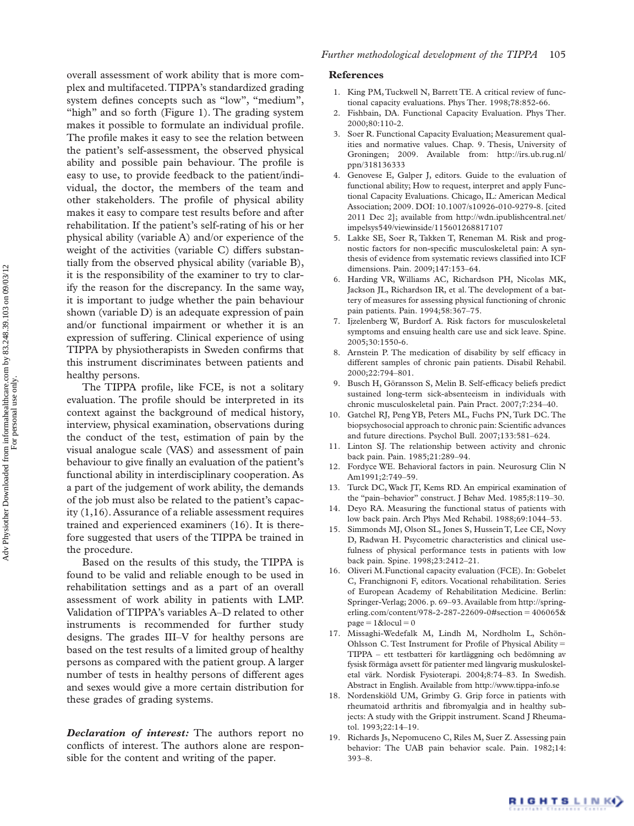overall assessment of work ability that is more complex and multifaceted. TIPPA's standardized grading system defines concepts such as "low", "medium", "high" and so forth (Figure 1). The grading system makes it possible to formulate an individual profile. The profile makes it easy to see the relation between the patient's self-assessment, the observed physical ability and possible pain behaviour. The profile is easy to use, to provide feedback to the patient/individual, the doctor, the members of the team and other stakeholders. The profile of physical ability makes it easy to compare test results before and after rehabilitation. If the patient's self-rating of his or her physical ability (variable A) and/or experience of the weight of the activities (variable C) differs substantially from the observed physical ability (variable B), it is the responsibility of the examiner to try to clarify the reason for the discrepancy. In the same way, it is important to judge whether the pain behaviour shown (variable D) is an adequate expression of pain and/or functional impairment or whether it is an expression of suffering. Clinical experience of using TIPPA by physiotherapists in Sweden confirms that this instrument discriminates between patients and healthy persons.

The TIPPA profile, like FCE, is not a solitary evaluation. The profile should be interpreted in its context against the background of medical history, interview, physical examination, observations during the conduct of the test, estimation of pain by the visual analogue scale (VAS) and assessment of pain behaviour to give finally an evaluation of the patient's functional ability in interdisciplinary cooperation. As a part of the judgement of work ability, the demands of the job must also be related to the patient's capacity (1,16). Assurance of a reliable assessment requires trained and experienced examiners (16). It is therefore suggested that users of the TIPPA be trained in the procedure.

Based on the results of this study, the TIPPA is found to be valid and reliable enough to be used in rehabilitation settings and as a part of an overall assessment of work ability in patients with LMP. Validation of TIPPA's variables A–D related to other instruments is recommended for further study designs. The grades III–V for healthy persons are based on the test results of a limited group of healthy persons as compared with the patient group. A larger number of tests in healthy persons of different ages and sexes would give a more certain distribution for these grades of grading systems.

*Declaration of interest:* The authors report no conflicts of interest. The authors alone are responsible for the content and writing of the paper.

## **References**

- 1. King PM, Tuckwell N, Barrett TE. A critical review of functional capacity evaluations. Phys Ther. 1998;78:852-66.
- 2. Fishbain, DA. Functional Capacity Evaluation. Phys Ther. 2000;80:110-2.
- 3. Soer R. Functional Capacity Evaluation; Measurement qualities and normative values. Chap. 9. Thesis, University of Groningen; 2009. Available from: http://irs.ub.rug.nl/ ppn/318136333
- 4. Genovese E, Galper J, editors. Guide to the evaluation of functional ability; How to request, interpret and apply Functional Capacity Evaluations. Chicago, IL: American Medical Association; 2009. DOI: 10.1007/s10926-010-9279-8. [cited 2011 Dec 2]; available from http://wdn.ipublishcentral.net/ impelsys549/viewinside/115601268817107
- 5. Lakke SE, Soer R, Takken T, Reneman M. Risk and prognostic factors for non-specific musculoskeletal pain: A synthesis of evidence from systematic reviews classified into ICF dimensions. Pain. 2009;147:153-64.
- 6. Harding VR, Williams AC, Richardson PH, Nicolas MK, Jackson JL, Richardson IR, et al. The development of a battery of measures for assessing physical functioning of chronic pain patients. Pain. 1994;58:367-75.
- 7. Ijzelenberg W, Burdorf A. Risk factors for musculoskeletal symptoms and ensuing health care use and sick leave. Spine. 2005;30:1550-6.
- 8. Arnstein P. The medication of disability by self efficacy in different samples of chronic pain patients. Disabil Rehabil. 2000;22:794 – 801.
- 9. Busch H, Göransson S, Melin B. Self-efficacy beliefs predict sustained long-term sick-absenteeism in individuals with chronic musculoskeletal pain. Pain Pract. 2007;7:234-40.
- 10. Gatchel RJ, Peng YB, Peters ML, Fuchs PN, Turk DC. The biopsychosocial approach to chronic pain: Scientific advances and future directions. Psychol Bull. 2007;133:581-624.
- 11. Linton SJ. The relationship between activity and chronic back pain. Pain. 1985;21:289-94.
- 12. Fordyce WE. Behavioral factors in pain. Neurosurg Clin N Am1991;2:749-59.
- 13. Turck DC, Wack JT, Kems RD. An empirical examination of the "pain-behavior" construct. J Behav Med. 1985;8:119-30.
- Deyo RA. Measuring the functional status of patients with low back pain. Arch Phys Med Rehabil. 1988;69:1044-53.
- 15. Simmonds MJ, Olson SL, Jones S, Hussein T, Lee CE, Novy D, Radwan H. Psycometric characteristics and clinical usefulness of physical performance tests in patients with low back pain. Spine. 1998;23:2412-21.
- 16. Oliveri M.Functional capacity evaluation (FCE). In: Gobelet C, Franchignoni F, editors. Vocational rehabilitation. Series of European Academy of Rehabilitation Medicine. Berlin: Springer-Verlag; 2006. p. 69 – 93. Available from http://springerling.com/content/978-2-287-22609-0#section = 406065&  $page = 1$ &locul = 0
- 17. Missaghi-Wedefalk M, Lindh M, Nordholm L, Schön-Ohlsson C. Test Instrument for Profile of Physical Ability  $=$ TIPPA –ett testbatteri för kartläggning och bedömning av fysisk förmåga avsett för patienter med långvarig muskuloskeletal värk. Nordisk Fysioterapi. 2004;8:74-83. In Swedish. Abstract in English. Available from http://www.tippa-info.se
- 18. Nordenskiöld UM, Grimby G. Grip force in patients with rheumatoid arthritis and fibromyalgia and in healthy subjects: A study with the Grippit instrument. Scand J Rheumatol. 1993;22:14-19.
- 19. Richards Js, Nepomuceno C, Riles M, Suer Z. Assessing pain behavior: The UAB pain behavior scale. Pain. 1982;14:  $393 - 8.$